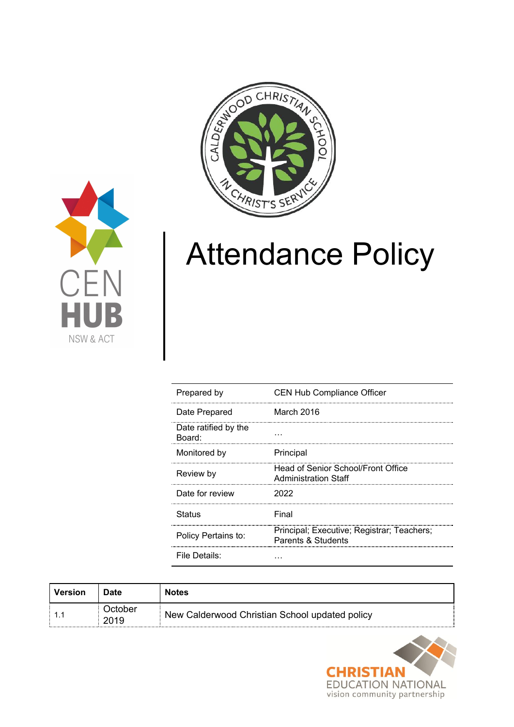



# Attendance Policy

| Prepared by                    | <b>CEN Hub Compliance Officer</b>                                 |
|--------------------------------|-------------------------------------------------------------------|
| Date Prepared                  | March 2016                                                        |
| Date ratified by the<br>Board: |                                                                   |
| Monitored by                   | Principal                                                         |
| Review by                      | Head of Senior School/Front Office<br><b>Administration Staff</b> |
| Date for review                | 2022                                                              |
| Status                         | Final                                                             |
| Policy Pertains to:            | Principal; Executive; Registrar; Teachers;<br>Parents & Students  |
| File Details:                  |                                                                   |

| Version | Date            | <b>Notes</b>                                   |
|---------|-----------------|------------------------------------------------|
|         | October<br>2019 | New Calderwood Christian School updated policy |

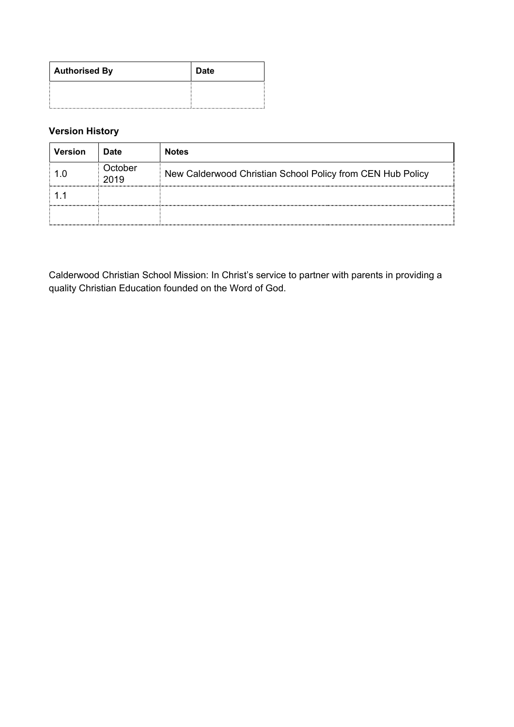| <b>Authorised By</b> | <b>Date</b> |
|----------------------|-------------|
|                      |             |

# **Version History**

| <b>Version</b> | <b>Date</b>            | <b>Notes</b>                                               |
|----------------|------------------------|------------------------------------------------------------|
|                | <b>Dctober</b><br>2019 | New Calderwood Christian School Policy from CEN Hub Policy |
|                |                        |                                                            |
|                |                        |                                                            |

Calderwood Christian School Mission: In Christ's service to partner with parents in providing a quality Christian Education founded on the Word of God.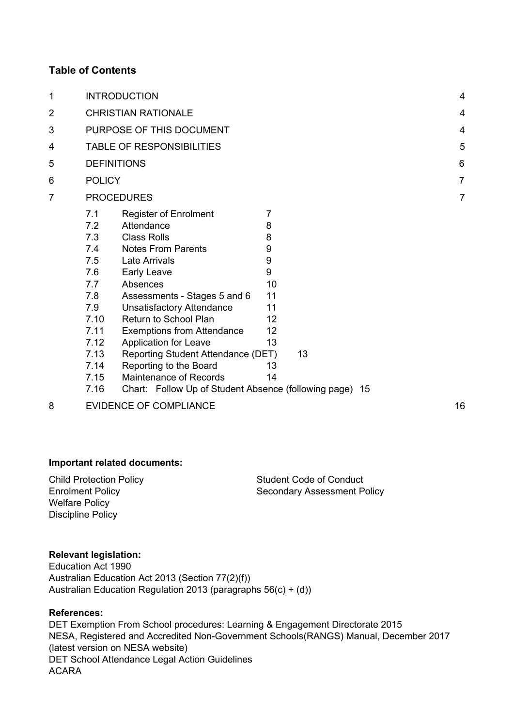# **Table of Contents**

| 1              |                                                                                                                     | <b>INTRODUCTION</b>                                                                                                                                                                                                                                                                                                                                                                                   |                                                                            |    |                | $\overline{4}$ |
|----------------|---------------------------------------------------------------------------------------------------------------------|-------------------------------------------------------------------------------------------------------------------------------------------------------------------------------------------------------------------------------------------------------------------------------------------------------------------------------------------------------------------------------------------------------|----------------------------------------------------------------------------|----|----------------|----------------|
| $\overline{2}$ |                                                                                                                     | <b>CHRISTIAN RATIONALE</b>                                                                                                                                                                                                                                                                                                                                                                            |                                                                            |    |                | $\overline{4}$ |
| 3              |                                                                                                                     | PURPOSE OF THIS DOCUMENT                                                                                                                                                                                                                                                                                                                                                                              |                                                                            |    |                | $\overline{4}$ |
| 4              | <b>TABLE OF RESPONSIBILITIES</b>                                                                                    |                                                                                                                                                                                                                                                                                                                                                                                                       |                                                                            |    | 5              |                |
| 5              |                                                                                                                     | <b>DEFINITIONS</b>                                                                                                                                                                                                                                                                                                                                                                                    |                                                                            |    |                | 6              |
| 6              | <b>POLICY</b>                                                                                                       |                                                                                                                                                                                                                                                                                                                                                                                                       |                                                                            |    |                | $\overline{7}$ |
| 7              | <b>PROCEDURES</b>                                                                                                   |                                                                                                                                                                                                                                                                                                                                                                                                       |                                                                            |    | $\overline{7}$ |                |
|                | 7.1<br>7.2<br>7.3<br>7.4<br>7.5<br>7.6<br>7.7<br>7.8<br>7.9<br>7.10<br>7.11<br>7.12<br>7.13<br>7.14<br>7.15<br>7.16 | <b>Register of Enrolment</b><br>Attendance<br><b>Class Rolls</b><br><b>Notes From Parents</b><br>Late Arrivals<br>Early Leave<br>Absences<br>Assessments - Stages 5 and 6<br><b>Unsatisfactory Attendance</b><br>Return to School Plan<br><b>Exemptions from Attendance</b><br><b>Application for Leave</b><br>Reporting Student Attendance (DET)<br>Reporting to the Board<br>Maintenance of Records | 7<br>8<br>8<br>9<br>9<br>9<br>10<br>11<br>11<br>12<br>12<br>13<br>13<br>14 | 13 |                |                |
|                |                                                                                                                     | Chart: Follow Up of Student Absence (following page) 15                                                                                                                                                                                                                                                                                                                                               |                                                                            |    |                |                |
|                |                                                                                                                     |                                                                                                                                                                                                                                                                                                                                                                                                       |                                                                            |    |                |                |

[8](#page-15-0) EVIDENCE OF [COMPLIANCE](#page-15-0) 2008 [16](#page-15-0)

#### **Important related documents:**

Child Protection Policy Enrolment Policy Welfare Policy Discipline Policy

Student Code of Conduct Secondary Assessment Policy

#### **Relevant legislation:**

Education Act 1990 Australian Education Act 2013 (Section 77(2)(f)) Australian Education Regulation 2013 (paragraphs 56(c) + (d))

# **References:**

DET Exemption From School procedures: Learning & Engagement Directorate 2015 NESA, Registered and Accredited Non-Government Schools(RANGS) Manual, December 2017 (latest version on NESA website) DET School Attendance Legal Action Guidelines ACARA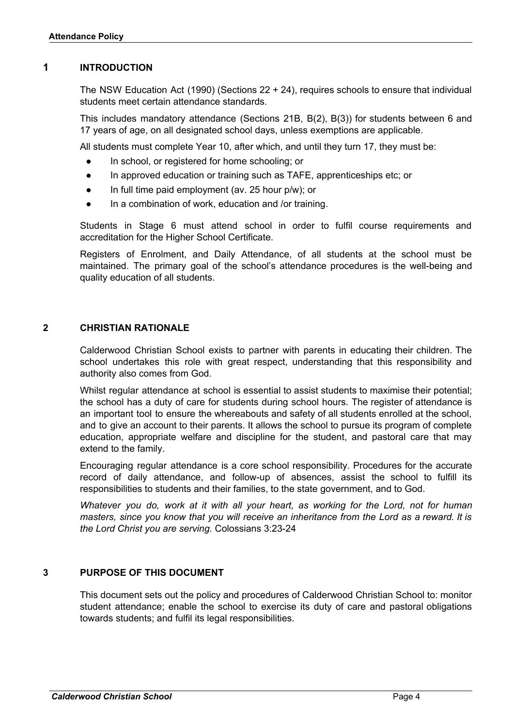### <span id="page-3-0"></span>**1 INTRODUCTION**

The NSW Education Act (1990) (Sections 22 + 24), requires schools to ensure that individual students meet certain attendance standards.

This includes mandatory attendance (Sections 21B, B(2), B(3)) for students between 6 and 17 years of age, on all designated school days, unless exemptions are applicable.

All students must complete Year 10, after which, and until they turn 17, they must be:

- In school, or registered for home schooling; or
- In approved education or training such as TAFE, apprenticeships etc; or
- In full time paid employment (av. 25 hour  $p/w$ ); or
- In a combination of work, education and /or training.

Students in Stage 6 must attend school in order to fulfil course requirements and accreditation for the Higher School Certificate.

Registers of Enrolment, and Daily Attendance, of all students at the school must be maintained. The primary goal of the school's attendance procedures is the well-being and quality education of all students.

### <span id="page-3-1"></span>**2 CHRISTIAN RATIONALE**

Calderwood Christian School exists to partner with parents in educating their children. The school undertakes this role with great respect, understanding that this responsibility and authority also comes from God.

Whilst regular attendance at school is essential to assist students to maximise their potential; the school has a duty of care for students during school hours. The register of attendance is an important tool to ensure the whereabouts and safety of all students enrolled at the school, and to give an account to their parents. It allows the school to pursue its program of complete education, appropriate welfare and discipline for the student, and pastoral care that may extend to the family.

Encouraging regular attendance is a core school responsibility. Procedures for the accurate record of daily attendance, and follow-up of absences, assist the school to fulfill its responsibilities to students and their families, to the state government, and to God.

*Whatever you do, work at it with all your heart, as working for the Lord, not for human masters, since you know that you will receive an inheritance from the Lord as a reward. It is the Lord Christ you are serving.* Colossians 3:23-24

# <span id="page-3-2"></span>**3 PURPOSE OF THIS DOCUMENT**

This document sets out the policy and procedures of Calderwood Christian School to: monitor student attendance; enable the school to exercise its duty of care and pastoral obligations towards students; and fulfil its legal responsibilities.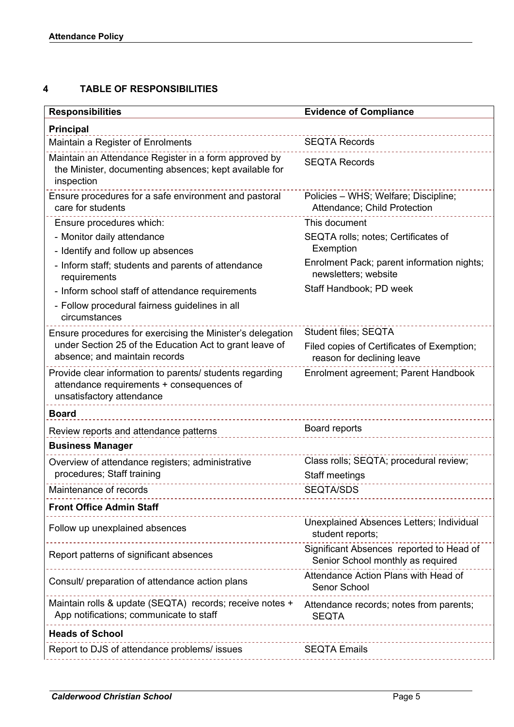# <span id="page-4-0"></span>**4 TABLE OF RESPONSIBILITIES**

| <b>Responsibilities</b>                                                                                                            | <b>Evidence of Compliance</b>                                                         |
|------------------------------------------------------------------------------------------------------------------------------------|---------------------------------------------------------------------------------------|
| <b>Principal</b>                                                                                                                   |                                                                                       |
| Maintain a Register of Enrolments                                                                                                  | <b>SEQTA Records</b>                                                                  |
| Maintain an Attendance Register in a form approved by<br>the Minister, documenting absences; kept available for<br>inspection      | <b>SEQTA Records</b>                                                                  |
| Ensure procedures for a safe environment and pastoral<br>care for students                                                         | Policies - WHS; Welfare; Discipline;<br>Attendance; Child Protection                  |
| Ensure procedures which:                                                                                                           | This document                                                                         |
| - Monitor daily attendance                                                                                                         | SEQTA rolls; notes; Certificates of                                                   |
| - Identify and follow up absences                                                                                                  | Exemption                                                                             |
| - Inform staff; students and parents of attendance<br>requirements                                                                 | Enrolment Pack; parent information nights;<br>newsletters; website                    |
| - Inform school staff of attendance requirements                                                                                   | Staff Handbook; PD week                                                               |
| - Follow procedural fairness guidelines in all<br>circumstances                                                                    |                                                                                       |
| Ensure procedures for exercising the Minister's delegation                                                                         | <b>Student files; SEQTA</b>                                                           |
| under Section 25 of the Education Act to grant leave of<br>absence; and maintain records                                           | Filed copies of Certificates of Exemption;<br>reason for declining leave              |
| Provide clear information to parents/ students regarding<br>attendance requirements + consequences of<br>unsatisfactory attendance | Enrolment agreement; Parent Handbook                                                  |
| <b>Board</b>                                                                                                                       |                                                                                       |
| Review reports and attendance patterns                                                                                             | Board reports                                                                         |
| <b>Business Manager</b>                                                                                                            |                                                                                       |
| Overview of attendance registers; administrative                                                                                   | Class rolls; SEQTA; procedural review;                                                |
| procedures; Staff training                                                                                                         | Staff meetings                                                                        |
| Maintenance of records                                                                                                             | <b>SEQTA/SDS</b>                                                                      |
| <b>Front Office Admin Staff</b>                                                                                                    |                                                                                       |
| Follow up unexplained absences                                                                                                     | <b>Unexplained Absences Letters; Individual</b><br>student reports;                   |
| Report patterns of significant absences                                                                                            | Significant Absences reported to Head of<br>Senior School monthly as required         |
| Consult/ preparation of attendance action plans                                                                                    | Attendance Action Plans with Head of<br>Senor School                                  |
| Maintain rolls & update (SEQTA) records; receive notes +<br>App notifications; communicate to staff                                | Attendance records; notes from parents;<br><b>SEQTA</b><br>__________________________ |
| <b>Heads of School</b>                                                                                                             |                                                                                       |
| Report to DJS of attendance problems/ issues<br>-------------------                                                                | <b>SEQTA Emails</b>                                                                   |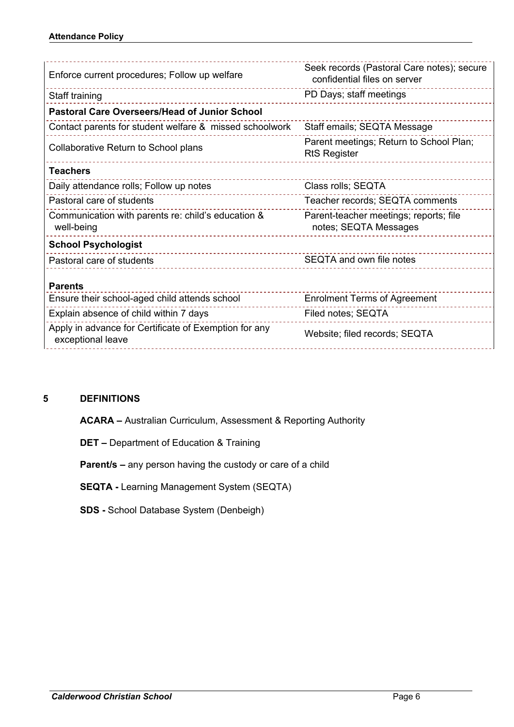| Enforce current procedures; Follow up welfare                              | Seek records (Pastoral Care notes); secure<br>confidential files on server |
|----------------------------------------------------------------------------|----------------------------------------------------------------------------|
| Staff training                                                             | PD Days; staff meetings                                                    |
| <b>Pastoral Care Overseers/Head of Junior School</b>                       |                                                                            |
| Contact parents for student welfare & missed schoolwork                    | Staff emails; SEQTA Message                                                |
| Collaborative Return to School plans                                       | Parent meetings; Return to School Plan;<br><b>RtS Register</b>             |
| <b>Teachers</b>                                                            |                                                                            |
| Daily attendance rolls; Follow up notes                                    | Class rolls; SEQTA                                                         |
| Pastoral care of students                                                  | Teacher records; SEQTA comments                                            |
| Communication with parents re: child's education &<br>well-being           | Parent-teacher meetings; reports; file<br>notes; SEQTA Messages            |
| <b>School Psychologist</b>                                                 |                                                                            |
| Pastoral care of students                                                  | SEQTA and own file notes                                                   |
| <b>Parents</b>                                                             |                                                                            |
| Ensure their school-aged child attends school                              | <b>Enrolment Terms of Agreement</b>                                        |
| Explain absence of child within 7 days                                     | Filed notes; SEQTA                                                         |
| Apply in advance for Certificate of Exemption for any<br>exceptional leave | Website; filed records; SEQTA                                              |
|                                                                            |                                                                            |

# <span id="page-5-0"></span>**5 DEFINITIONS**

**ACARA –** Australian Curriculum, Assessment & Reporting Authority

**DET –** Department of Education & Training

**Parent/s –** any person having the custody or care of a child

**SEQTA -** Learning Management System (SEQTA)

**SDS -** School Database System (Denbeigh)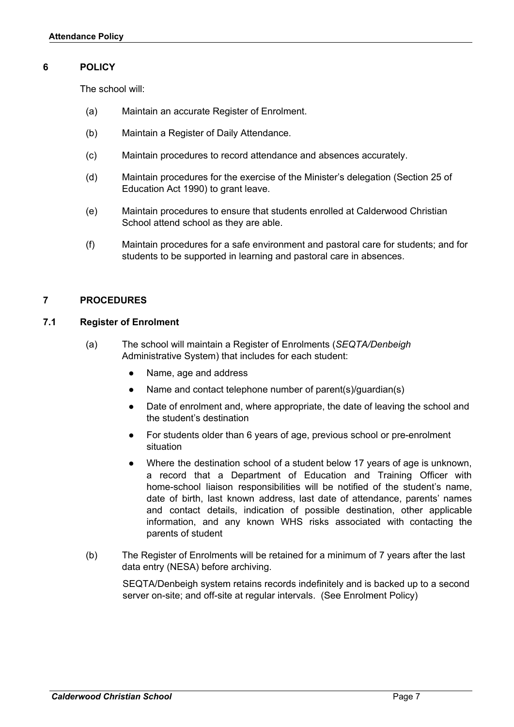#### <span id="page-6-0"></span>**6 POLICY**

The school will:

- (a) Maintain an accurate Register of Enrolment.
- (b) Maintain a Register of Daily Attendance.
- (c) Maintain procedures to record attendance and absences accurately.
- (d) Maintain procedures for the exercise of the Minister's delegation (Section 25 of Education Act 1990) to grant leave.
- (e) Maintain procedures to ensure that students enrolled at Calderwood Christian School attend school as they are able.
- (f) Maintain procedures for a safe environment and pastoral care for students; and for students to be supported in learning and pastoral care in absences.

#### <span id="page-6-1"></span>**7 PROCEDURES**

#### <span id="page-6-2"></span>**7.1 Register of Enrolment**

- (a) The school will maintain a Register of Enrolments (*SEQTA/Denbeigh* Administrative System) that includes for each student:
	- Name, age and address
	- Name and contact telephone number of parent(s)/guardian(s)
	- Date of enrolment and, where appropriate, the date of leaving the school and the student's destination
	- For students older than 6 years of age, previous school or pre-enrolment situation
	- Where the destination school of a student below 17 years of age is unknown, a record that a Department of Education and Training Officer with home-school liaison responsibilities will be notified of the student's name, date of birth, last known address, last date of attendance, parents' names and contact details, indication of possible destination, other applicable information, and any known WHS risks associated with contacting the parents of student
- (b) The Register of Enrolments will be retained for a minimum of 7 years after the last data entry (NESA) before archiving.

SEQTA/Denbeigh system retains records indefinitely and is backed up to a second server on-site; and off-site at regular intervals. (See Enrolment Policy)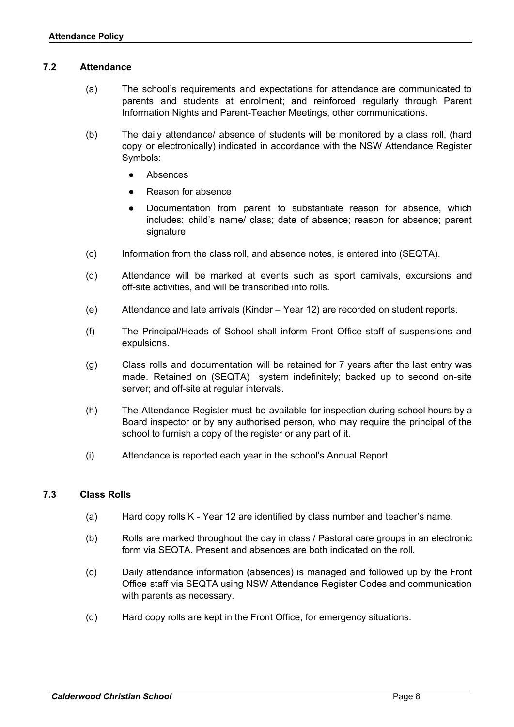#### <span id="page-7-0"></span>**7.2 Attendance**

- (a) The school's requirements and expectations for attendance are communicated to parents and students at enrolment; and reinforced regularly through Parent Information Nights and Parent-Teacher Meetings, other communications.
- (b) The daily attendance/ absence of students will be monitored by a class roll, (hard copy or electronically) indicated in accordance with the NSW Attendance Register Symbols:
	- **Absences**
	- Reason for absence
	- Documentation from parent to substantiate reason for absence, which includes: child's name/ class; date of absence; reason for absence; parent signature
- (c) Information from the class roll, and absence notes, is entered into (SEQTA).
- (d) Attendance will be marked at events such as sport carnivals, excursions and off-site activities, and will be transcribed into rolls.
- (e) Attendance and late arrivals (Kinder Year 12) are recorded on student reports.
- (f) The Principal/Heads of School shall inform Front Office staff of suspensions and expulsions.
- (g) Class rolls and documentation will be retained for 7 years after the last entry was made. Retained on (SEQTA) system indefinitely; backed up to second on-site server; and off-site at regular intervals.
- (h) The Attendance Register must be available for inspection during school hours by a Board inspector or by any authorised person, who may require the principal of the school to furnish a copy of the register or any part of it.
- (i) Attendance is reported each year in the school's Annual Report.

#### <span id="page-7-1"></span>**7.3 Class Rolls**

- (a) Hard copy rolls K Year 12 are identified by class number and teacher's name.
- (b) Rolls are marked throughout the day in class / Pastoral care groups in an electronic form via SEQTA. Present and absences are both indicated on the roll.
- (c) Daily attendance information (absences) is managed and followed up by the Front Office staff via SEQTA using NSW Attendance Register Codes and communication with parents as necessary.
- (d) Hard copy rolls are kept in the Front Office, for emergency situations.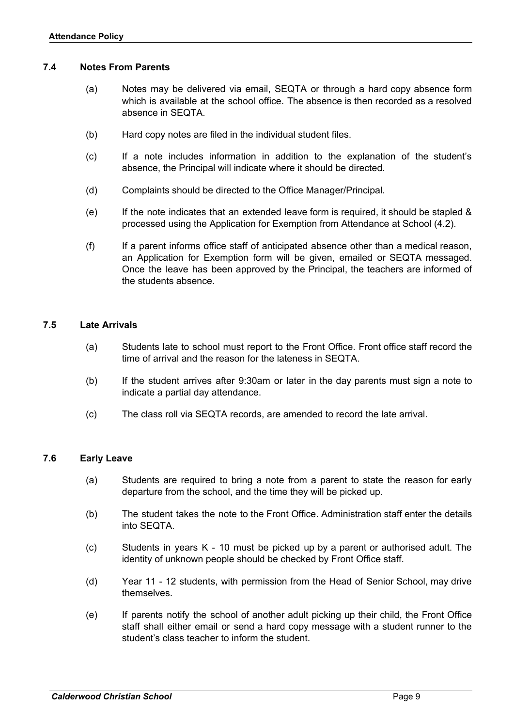#### <span id="page-8-0"></span>**7.4 Notes From Parents**

- (a) Notes may be delivered via email, SEQTA or through a hard copy absence form which is available at the school office. The absence is then recorded as a resolved absence in SEQTA.
- (b) Hard copy notes are filed in the individual student files.
- (c) If a note includes information in addition to the explanation of the student's absence, the Principal will indicate where it should be directed.
- (d) Complaints should be directed to the Office Manager/Principal.
- (e) If the note indicates that an extended leave form is required, it should be stapled & processed using the Application for Exemption from Attendance at School (4.2).
- (f) If a parent informs office staff of anticipated absence other than a medical reason, an Application for Exemption form will be given, emailed or SEQTA messaged. Once the leave has been approved by the Principal, the teachers are informed of the students absence.

#### <span id="page-8-1"></span>**7.5 Late Arrivals**

- (a) Students late to school must report to the Front Office. Front office staff record the time of arrival and the reason for the lateness in SEQTA.
- (b) If the student arrives after 9:30am or later in the day parents must sign a note to indicate a partial day attendance.
- (c) The class roll via SEQTA records, are amended to record the late arrival.

#### <span id="page-8-2"></span>**7.6 Early Leave**

- (a) Students are required to bring a note from a parent to state the reason for early departure from the school, and the time they will be picked up.
- (b) The student takes the note to the Front Office. Administration staff enter the details into SEQTA.
- (c) Students in years K 10 must be picked up by a parent or authorised adult. The identity of unknown people should be checked by Front Office staff.
- (d) Year 11 12 students, with permission from the Head of Senior School, may drive themselves.
- (e) If parents notify the school of another adult picking up their child, the Front Office staff shall either email or send a hard copy message with a student runner to the student's class teacher to inform the student.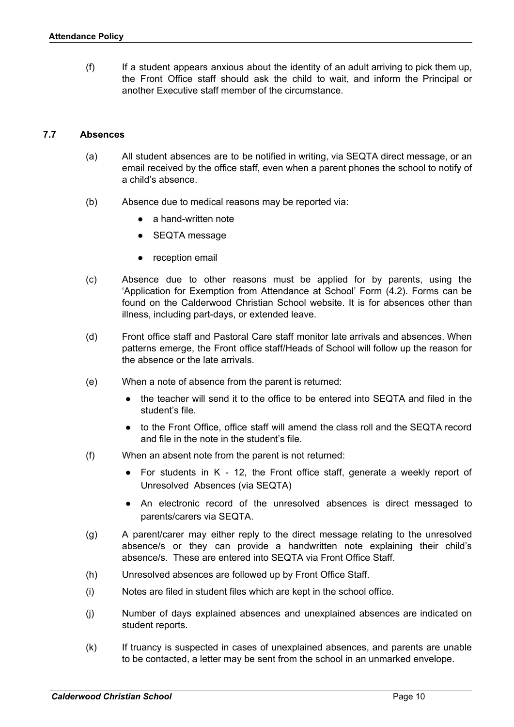(f) If a student appears anxious about the identity of an adult arriving to pick them up, the Front Office staff should ask the child to wait, and inform the Principal or another Executive staff member of the circumstance.

#### <span id="page-9-0"></span>**7.7 Absences**

- (a) All student absences are to be notified in writing, via SEQTA direct message, or an email received by the office staff, even when a parent phones the school to notify of a child's absence.
- (b) Absence due to medical reasons may be reported via:
	- a hand-written note
	- SEQTA message
	- reception email
- (c) Absence due to other reasons must be applied for by parents, using the 'Application for Exemption from Attendance at School' Form (4.2). Forms can be found on the Calderwood Christian School website. It is for absences other than illness, including part-days, or extended leave.
- (d) Front office staff and Pastoral Care staff monitor late arrivals and absences. When patterns emerge, the Front office staff/Heads of School will follow up the reason for the absence or the late arrivals.
- (e) When a note of absence from the parent is returned:
	- the teacher will send it to the office to be entered into SEQTA and filed in the student's file.
	- to the Front Office, office staff will amend the class roll and the SEQTA record and file in the note in the student's file.
- (f) When an absent note from the parent is not returned:
	- For students in K 12, the Front office staff, generate a weekly report of Unresolved Absences (via SEQTA)
	- An electronic record of the unresolved absences is direct messaged to parents/carers via SEQTA.
- (g) A parent/carer may either reply to the direct message relating to the unresolved absence/s or they can provide a handwritten note explaining their child's absence/s. These are entered into SEQTA via Front Office Staff.
- (h) Unresolved absences are followed up by Front Office Staff.
- (i) Notes are filed in student files which are kept in the school office.
- (j) Number of days explained absences and unexplained absences are indicated on student reports.
- (k) If truancy is suspected in cases of unexplained absences, and parents are unable to be contacted, a letter may be sent from the school in an unmarked envelope.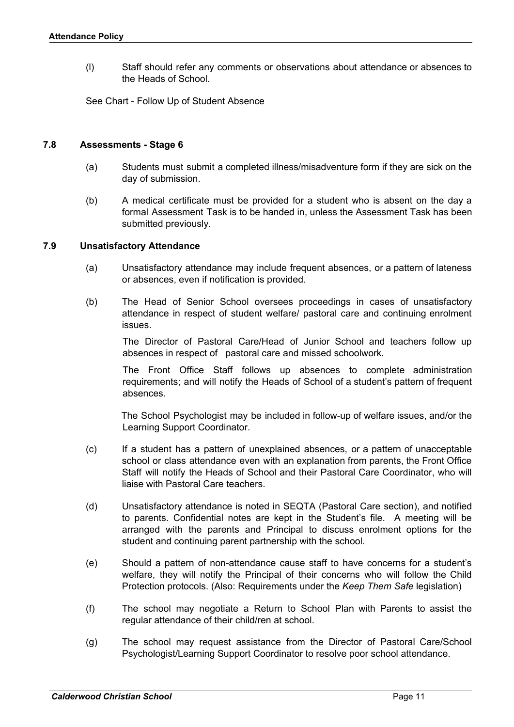(l) Staff should refer any comments or observations about attendance or absences to the Heads of School.

See Chart - Follow Up of Student Absence

#### <span id="page-10-0"></span>**7.8 Assessments - Stage 6**

- (a) Students must submit a completed illness/misadventure form if they are sick on the day of submission.
- (b) A medical certificate must be provided for a student who is absent on the day a formal Assessment Task is to be handed in, unless the Assessment Task has been submitted previously.

#### <span id="page-10-1"></span>**7.9 Unsatisfactory Attendance**

- (a) Unsatisfactory attendance may include frequent absences, or a pattern of lateness or absences, even if notification is provided.
- (b) The Head of Senior School oversees proceedings in cases of unsatisfactory attendance in respect of student welfare/ pastoral care and continuing enrolment issues.

The Director of Pastoral Care/Head of Junior School and teachers follow up absences in respect of pastoral care and missed schoolwork.

The Front Office Staff follows up absences to complete administration requirements; and will notify the Heads of School of a student's pattern of frequent absences.

The School Psychologist may be included in follow-up of welfare issues, and/or the Learning Support Coordinator.

- (c) If a student has a pattern of unexplained absences, or a pattern of unacceptable school or class attendance even with an explanation from parents, the Front Office Staff will notify the Heads of School and their Pastoral Care Coordinator, who will liaise with Pastoral Care teachers.
- (d) Unsatisfactory attendance is noted in SEQTA (Pastoral Care section), and notified to parents. Confidential notes are kept in the Student's file. A meeting will be arranged with the parents and Principal to discuss enrolment options for the student and continuing parent partnership with the school.
- (e) Should a pattern of non-attendance cause staff to have concerns for a student's welfare, they will notify the Principal of their concerns who will follow the Child Protection protocols. (Also: Requirements under the *Keep Them Safe* legislation)
- (f) The school may negotiate a Return to School Plan with Parents to assist the regular attendance of their child/ren at school.
- (g) The school may request assistance from the Director of Pastoral Care/School Psychologist/Learning Support Coordinator to resolve poor school attendance.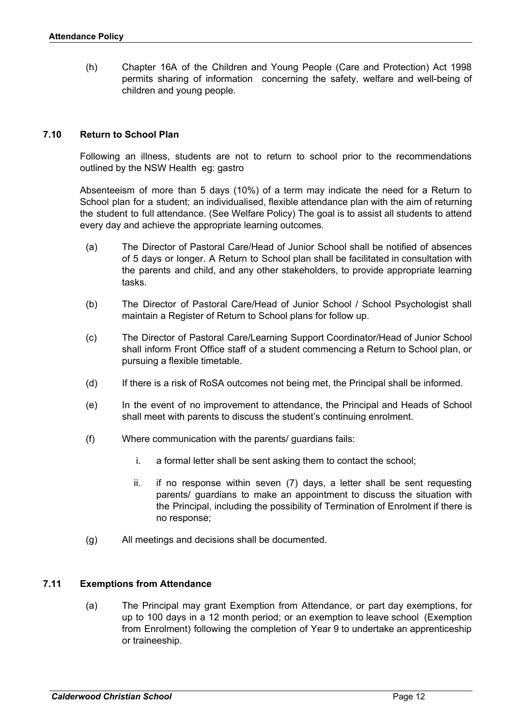(h) Chapter 16A of the Children and Young People (Care and Protection) Act 1998 permits sharing of information concerning the safety, welfare and well-being of children and young people.

#### <span id="page-11-0"></span>**7.10 Return to School Plan**

Following an illness, students are not to return to school prior to the recommendations outlined by the NSW Health eg: gastro

Absenteeism of more than 5 days (10%) of a term may indicate the need for a Return to School plan for a student; an individualised, flexible attendance plan with the aim of returning the student to full attendance. (See Welfare Policy) The goal is to assist all students to attend every day and achieve the appropriate learning outcomes.

- (a) The Director of Pastoral Care/Head of Junior School shall be notified of absences of 5 days or longer. A Return to School plan shall be facilitated in consultation with the parents and child, and any other stakeholders, to provide appropriate learning tasks.
- (b) The Director of Pastoral Care/Head of Junior School / School Psychologist shall maintain a Register of Return to School plans for follow up.
- (c) The Director of Pastoral Care/Learning Support Coordinator/Head of Junior School shall inform Front Office staff of a student commencing a Return to School plan, or pursuing a flexible timetable.
- (d) If there is a risk of RoSA outcomes not being met, the Principal shall be informed.
- (e) In the event of no improvement to attendance, the Principal and Heads of School shall meet with parents to discuss the student's continuing enrolment.
- (f) Where communication with the parents/ guardians fails:
	- i. a formal letter shall be sent asking them to contact the school;
	- ii. if no response within seven (7) days, a letter shall be sent requesting parents/ guardians to make an appointment to discuss the situation with the Principal, including the possibility of Termination of Enrolment if there is no response;
- (g) All meetings and decisions shall be documented.

#### <span id="page-11-1"></span>**7.11 Exemptions from Attendance**

(a) The Principal may grant Exemption from Attendance, or part day exemptions, for up to 100 days in a 12 month period; or an exemption to leave school (Exemption from Enrolment) following the completion of Year 9 to undertake an apprenticeship or traineeship.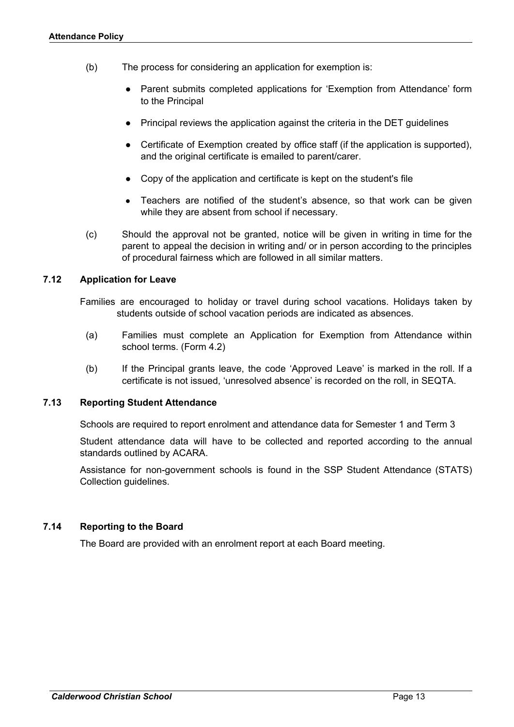- (b) The process for considering an application for exemption is:
	- Parent submits completed applications for 'Exemption from Attendance' form to the Principal
	- Principal reviews the application against the criteria in the DET guidelines
	- Certificate of Exemption created by office staff (if the application is supported), and the original certificate is emailed to parent/carer.
	- Copy of the application and certificate is kept on the student's file
	- Teachers are notified of the student's absence, so that work can be given while they are absent from school if necessary.
- (c) Should the approval not be granted, notice will be given in writing in time for the parent to appeal the decision in writing and/ or in person according to the principles of procedural fairness which are followed in all similar matters.

#### <span id="page-12-0"></span>**7.12 Application for Leave**

Families are encouraged to holiday or travel during school vacations. Holidays taken by students outside of school vacation periods are indicated as absences.

- (a) Families must complete an Application for Exemption from Attendance within school terms. (Form 4.2)
- (b) If the Principal grants leave, the code 'Approved Leave' is marked in the roll. If a certificate is not issued, 'unresolved absence' is recorded on the roll, in SEQTA.

#### <span id="page-12-1"></span>**7.13 Reporting Student Attendance**

Schools are required to report enrolment and attendance data for Semester 1 and Term 3

Student attendance data will have to be collected and reported according to the annual standards outlined by ACARA.

Assistance for non-government schools is found in the SSP Student Attendance (STATS) Collection guidelines.

#### <span id="page-12-2"></span>**7.14 Reporting to the Board**

The Board are provided with an enrolment report at each Board meeting.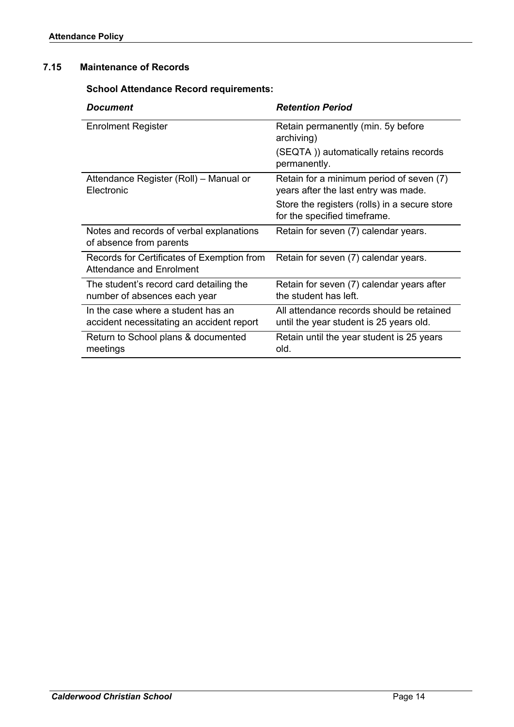## <span id="page-13-0"></span>**7.15 Maintenance of Records**

**School Attendance Record requirements:**

| <b>Document</b>                                                                 | <b>Retention Period</b>                                                              |
|---------------------------------------------------------------------------------|--------------------------------------------------------------------------------------|
| <b>Enrolment Register</b>                                                       | Retain permanently (min. 5y before<br>archiving)                                     |
|                                                                                 | (SEQTA)) automatically retains records<br>permanently.                               |
| Attendance Register (Roll) - Manual or<br>Electronic                            | Retain for a minimum period of seven (7)<br>years after the last entry was made.     |
|                                                                                 | Store the registers (rolls) in a secure store<br>for the specified timeframe.        |
| Notes and records of verbal explanations<br>of absence from parents             | Retain for seven (7) calendar years.                                                 |
| Records for Certificates of Exemption from<br><b>Attendance and Enrolment</b>   | Retain for seven (7) calendar years.                                                 |
| The student's record card detailing the<br>number of absences each year         | Retain for seven (7) calendar years after<br>the student has left.                   |
| In the case where a student has an<br>accident necessitating an accident report | All attendance records should be retained<br>until the year student is 25 years old. |
| Return to School plans & documented<br>meetings                                 | Retain until the year student is 25 years<br>old.                                    |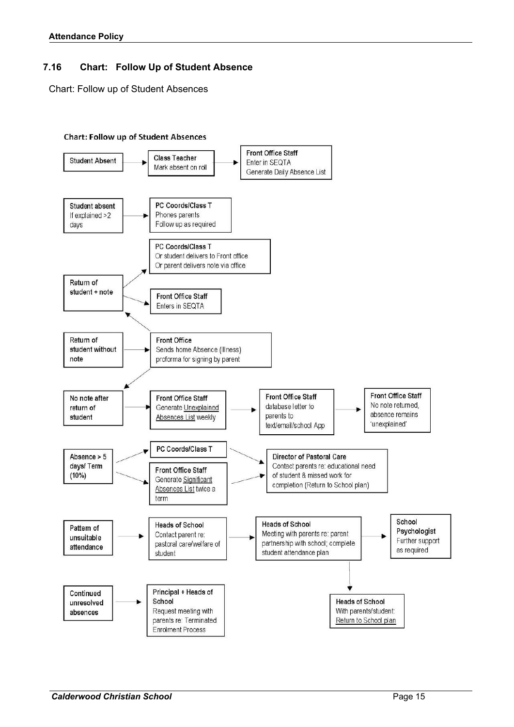# <span id="page-14-0"></span>**7.16 Chart: Follow Up of Student Absence**

Chart: Follow up of Student Absences